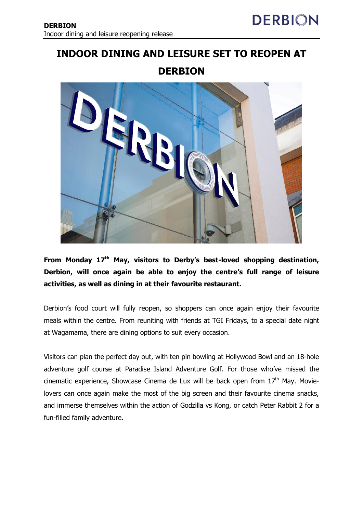## **INDOOR DINING AND LEISURE SET TO REOPEN AT DERBION**



**From Monday 17th May, visitors to Derby's best-loved shopping destination, Derbion, will once again be able to enjoy the centre's full range of leisure activities, as well as dining in at their favourite restaurant.** 

Derbion's food court will fully reopen, so shoppers can once again enjoy their favourite meals within the centre. From reuniting with friends at TGI Fridays, to a special date night at Wagamama, there are dining options to suit every occasion.

Visitors can plan the perfect day out, with ten pin bowling at Hollywood Bowl and an 18-hole adventure golf course at Paradise Island Adventure Golf. For those who've missed the cinematic experience, Showcase Cinema de Lux will be back open from  $17<sup>th</sup>$  May. Movielovers can once again make the most of the big screen and their favourite cinema snacks, and immerse themselves within the action of Godzilla vs Kong, or catch Peter Rabbit 2 for a fun-filled family adventure.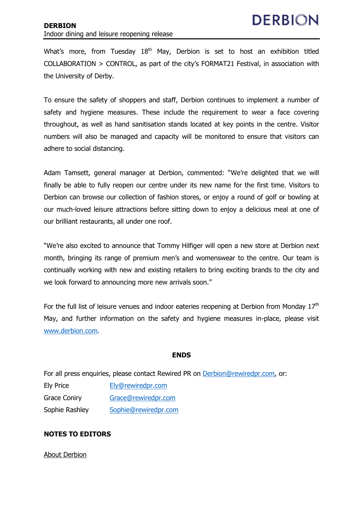# **DERBION**

#### **DERBION** Indoor dining and leisure reopening release

What's more, from Tuesday  $18<sup>th</sup>$  May, Derbion is set to host an exhibition titled COLLABORATION > CONTROL, as part of the city's FORMAT21 Festival, in association with the University of Derby.

To ensure the safety of shoppers and staff, Derbion continues to implement a number of safety and hygiene measures. These include the requirement to wear a face covering throughout, as well as hand sanitisation stands located at key points in the centre. Visitor numbers will also be managed and capacity will be monitored to ensure that visitors can adhere to social distancing.

Adam Tamsett, general manager at Derbion, commented: "We're delighted that we will finally be able to fully reopen our centre under its new name for the first time. Visitors to Derbion can browse our collection of fashion stores, or enjoy a round of golf or bowling at our much-loved leisure attractions before sitting down to enjoy a delicious meal at one of our brilliant restaurants, all under one roof.

"We're also excited to announce that Tommy Hilfiger will open a new store at Derbion next month, bringing its range of premium men's and womenswear to the centre. Our team is continually working with new and existing retailers to bring exciting brands to the city and we look forward to announcing more new arrivals soon."

For the full list of leisure venues and indoor eateries reopening at Derbion from Monday  $17<sup>th</sup>$ May, and further information on the safety and hygiene measures in-place, please visit [www.derbion.com.](file:///C:/Users/User/AppData/Local/Microsoft/Windows/INetCache/Content.Outlook/3NBK1DRL/www.derbion.com)

#### **ENDS**

For all press enquiries, please contact Rewired PR on [Derbion@rewiredpr.com,](mailto:Derbion@rewiredpr.com) or:

- Ely Price [Ely@rewiredpr.com](mailto:Ely@rewiredpr.com)
- Grace Coniry [Grace@rewiredpr.com](mailto:Grace@rewiredpr.com)
- Sophie Rashley [Sophie@rewiredpr.com](mailto:Sophie@rewiredpr.com)

### **NOTES TO EDITORS**

About Derbion